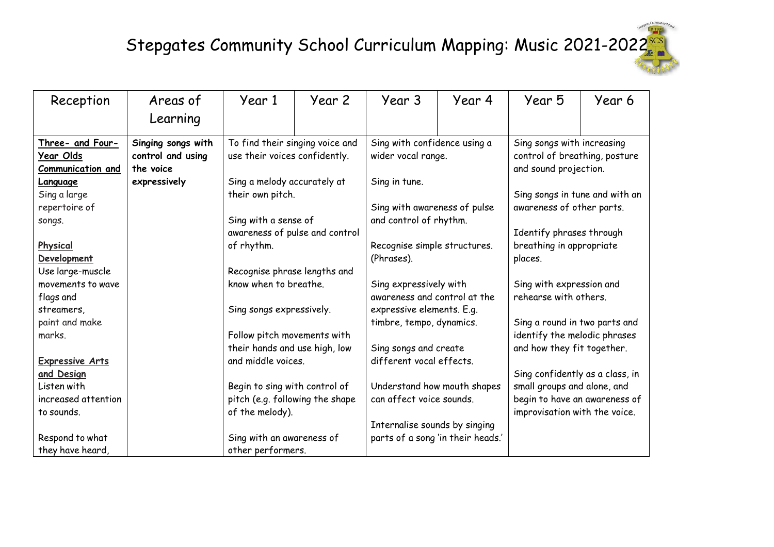| Reception              | Areas of           | Year 1                          | Year 2 | Year 3                        | Year 4                            | Year 5                          | Year 6 |
|------------------------|--------------------|---------------------------------|--------|-------------------------------|-----------------------------------|---------------------------------|--------|
|                        | Learning           |                                 |        |                               |                                   |                                 |        |
|                        |                    |                                 |        |                               |                                   |                                 |        |
| Three- and Four-       | Singing songs with | To find their singing voice and |        | Sing with confidence using a  |                                   | Sing songs with increasing      |        |
| <u>Year Olds</u>       | control and using  | use their voices confidently.   |        | wider vocal range.            |                                   | control of breathing, posture   |        |
| Communication and      | the voice          |                                 |        |                               |                                   | and sound projection.           |        |
| <b>Language</b>        | expressively       | Sing a melody accurately at     |        | Sing in tune.                 |                                   |                                 |        |
| Sing a large           |                    | their own pitch.                |        |                               |                                   | Sing songs in tune and with an  |        |
| repertoire of          |                    |                                 |        | Sing with awareness of pulse  |                                   | awareness of other parts.       |        |
| songs.                 |                    | Sing with a sense of            |        | and control of rhythm.        |                                   |                                 |        |
|                        |                    | awareness of pulse and control  |        |                               |                                   | Identify phrases through        |        |
| Physical               |                    | of rhythm.                      |        | Recognise simple structures.  |                                   | breathing in appropriate        |        |
| Development            |                    |                                 |        | (Phrases).                    |                                   | places.                         |        |
| Use large-muscle       |                    | Recognise phrase lengths and    |        |                               |                                   |                                 |        |
| movements to wave      |                    | know when to breathe.           |        | Sing expressively with        |                                   | Sing with expression and        |        |
| flags and              |                    |                                 |        | awareness and control at the  |                                   | rehearse with others.           |        |
| streamers,             |                    | Sing songs expressively.        |        | expressive elements. E.g.     |                                   |                                 |        |
| paint and make         |                    |                                 |        | timbre, tempo, dynamics.      |                                   | Sing a round in two parts and   |        |
| marks.                 |                    | Follow pitch movements with     |        |                               |                                   | identify the melodic phrases    |        |
|                        |                    | their hands and use high, low   |        | Sing songs and create         |                                   | and how they fit together.      |        |
| <b>Expressive Arts</b> |                    | and middle voices.              |        | different vocal effects.      |                                   |                                 |        |
| and Design             |                    |                                 |        |                               |                                   | Sing confidently as a class, in |        |
| Listen with            |                    | Begin to sing with control of   |        | Understand how mouth shapes   |                                   | small groups and alone, and     |        |
| increased attention    |                    | pitch (e.g. following the shape |        | can affect voice sounds.      |                                   | begin to have an awareness of   |        |
| to sounds.             |                    | of the melody).                 |        |                               |                                   | improvisation with the voice.   |        |
|                        |                    |                                 |        | Internalise sounds by singing |                                   |                                 |        |
| Respond to what        |                    | Sing with an awareness of       |        |                               | parts of a song 'in their heads.' |                                 |        |
| they have heard,       |                    | other performers.               |        |                               |                                   |                                 |        |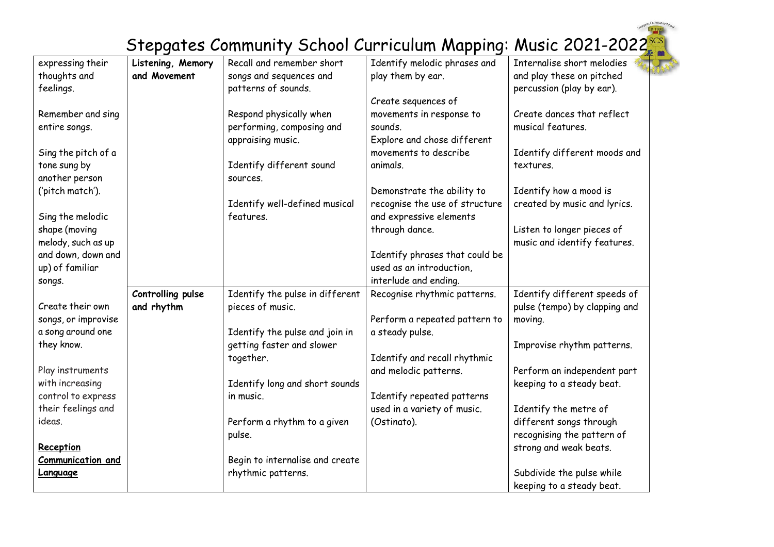| expressing their         | Listening, Memory | Recall and remember short       | Identify melodic phrases and   | Internalise short melodies    |
|--------------------------|-------------------|---------------------------------|--------------------------------|-------------------------------|
| thoughts and             | and Movement      | songs and sequences and         | play them by ear.              | and play these on pitched     |
| feelings.                |                   | patterns of sounds.             |                                | percussion (play by ear).     |
|                          |                   |                                 | Create sequences of            |                               |
| Remember and sing        |                   | Respond physically when         | movements in response to       | Create dances that reflect    |
| entire songs.            |                   | performing, composing and       | sounds.                        | musical features.             |
|                          |                   | appraising music.               | Explore and chose different    |                               |
| Sing the pitch of a      |                   |                                 | movements to describe          | Identify different moods and  |
| tone sung by             |                   | Identify different sound        | animals.                       | textures.                     |
| another person           |                   | sources.                        |                                |                               |
| ('pitch match').         |                   |                                 | Demonstrate the ability to     | Identify how a mood is        |
|                          |                   | Identify well-defined musical   | recognise the use of structure | created by music and lyrics.  |
| Sing the melodic         |                   | features.                       | and expressive elements        |                               |
| shape (moving            |                   |                                 | through dance.                 | Listen to longer pieces of    |
| melody, such as up       |                   |                                 |                                | music and identify features.  |
| and down, down and       |                   |                                 | Identify phrases that could be |                               |
| up) of familiar          |                   |                                 | used as an introduction,       |                               |
| songs.                   |                   |                                 | interlude and ending.          |                               |
|                          | Controlling pulse | Identify the pulse in different | Recognise rhythmic patterns.   | Identify different speeds of  |
| Create their own         | and rhythm        | pieces of music.                |                                | pulse (tempo) by clapping and |
| songs, or improvise      |                   |                                 | Perform a repeated pattern to  | moving.                       |
| a song around one        |                   | Identify the pulse and join in  | a steady pulse.                |                               |
| they know.               |                   | getting faster and slower       |                                | Improvise rhythm patterns.    |
|                          |                   | together.                       | Identify and recall rhythmic   |                               |
| Play instruments         |                   |                                 | and melodic patterns.          | Perform an independent part   |
| with increasing          |                   | Identify long and short sounds  |                                | keeping to a steady beat.     |
| control to express       |                   | in music.                       | Identify repeated patterns     |                               |
| their feelings and       |                   |                                 | used in a variety of music.    | Identify the metre of         |
| ideas.                   |                   | Perform a rhythm to a given     | (Ostinato).                    | different songs through       |
|                          |                   | pulse.                          |                                | recognising the pattern of    |
| Reception                |                   |                                 |                                | strong and weak beats.        |
| <b>Communication and</b> |                   | Begin to internalise and create |                                |                               |
| <b>Language</b>          |                   | rhythmic patterns.              |                                | Subdivide the pulse while     |
|                          |                   |                                 |                                | keeping to a steady beat.     |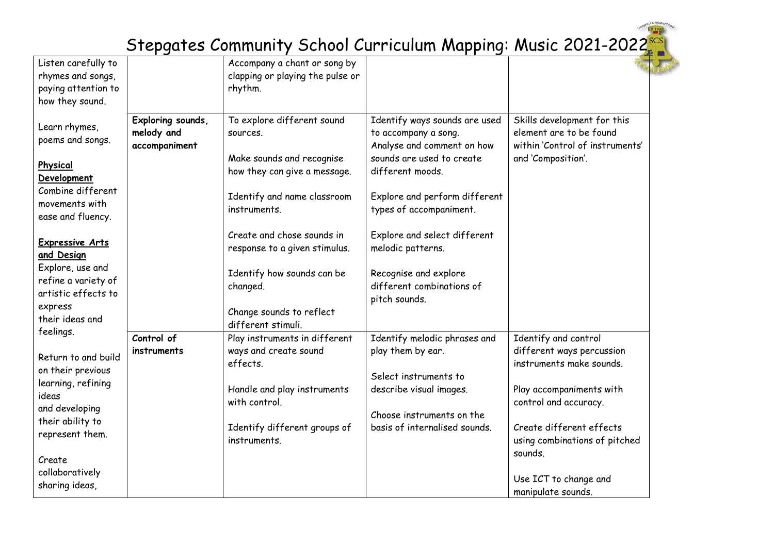| Listen carefully to                 |                             |                                  |                                                    |                                                            |
|-------------------------------------|-----------------------------|----------------------------------|----------------------------------------------------|------------------------------------------------------------|
|                                     |                             | Accompany a chant or song by     |                                                    |                                                            |
| rhymes and songs,                   |                             | clapping or playing the pulse or |                                                    |                                                            |
| paying attention to                 |                             | rhythm.                          |                                                    |                                                            |
| how they sound.                     |                             |                                  |                                                    |                                                            |
| Learn rhymes,                       | Exploring sounds,           | To explore different sound       | Identify ways sounds are used                      | Skills development for this                                |
| poems and songs.                    | melody and<br>accompaniment | sources.                         | to accompany a song.<br>Analyse and comment on how | element are to be found<br>within 'Control of instruments' |
|                                     |                             | Make sounds and recognise        | sounds are used to create                          | and 'Composition'.                                         |
| Physical                            |                             | how they can give a message.     | different moods.                                   |                                                            |
| Development                         |                             |                                  |                                                    |                                                            |
| Combine different                   |                             | Identify and name classroom      | Explore and perform different                      |                                                            |
| movements with                      |                             | instruments.                     | types of accompaniment.                            |                                                            |
| ease and fluency.                   |                             |                                  |                                                    |                                                            |
|                                     |                             | Create and chose sounds in       | Explore and select different                       |                                                            |
| <b>Expressive Arts</b>              |                             | response to a given stimulus.    | melodic patterns.                                  |                                                            |
| and Design                          |                             |                                  |                                                    |                                                            |
| Explore, use and                    |                             | Identify how sounds can be       | Recognise and explore                              |                                                            |
| refine a variety of                 |                             | changed.                         | different combinations of                          |                                                            |
| artistic effects to                 |                             |                                  | pitch sounds.                                      |                                                            |
| express<br>their ideas and          |                             | Change sounds to reflect         |                                                    |                                                            |
|                                     |                             | different stimuli.               |                                                    |                                                            |
| feelings.                           | Control of                  | Play instruments in different    | Identify melodic phrases and                       | Identify and control                                       |
| Return to and build                 | instruments                 | ways and create sound            | play them by ear.                                  | different ways percussion                                  |
| on their previous                   |                             | effects.                         |                                                    | instruments make sounds.                                   |
| learning, refining                  |                             |                                  | Select instruments to                              |                                                            |
| ideas                               |                             | Handle and play instruments      | describe visual images.                            | Play accompaniments with                                   |
| and developing                      |                             | with control.                    |                                                    | control and accuracy.                                      |
|                                     |                             |                                  | Choose instruments on the                          |                                                            |
| their ability to<br>represent them. |                             | Identify different groups of     | basis of internalised sounds.                      | Create different effects                                   |
|                                     |                             | instruments.                     |                                                    | using combinations of pitched                              |
| Create                              |                             |                                  |                                                    | sounds.                                                    |
| collaboratively                     |                             |                                  |                                                    |                                                            |
| sharing ideas,                      |                             |                                  |                                                    | Use ICT to change and                                      |
|                                     |                             |                                  |                                                    | manipulate sounds.                                         |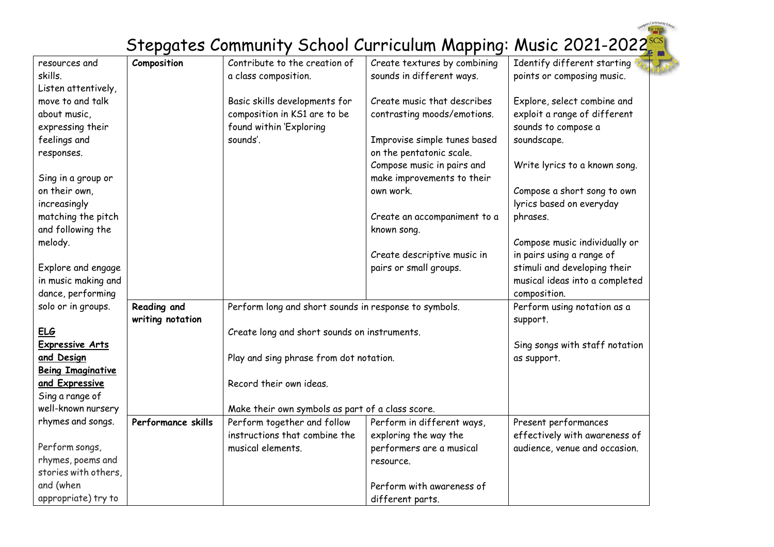| resources and            | Composition        | Contribute to the creation of                         | Create textures by combining | Identify different starting    |
|--------------------------|--------------------|-------------------------------------------------------|------------------------------|--------------------------------|
| skills.                  |                    | a class composition.                                  | sounds in different ways.    | points or composing music.     |
| Listen attentively,      |                    |                                                       |                              |                                |
| move to and talk         |                    | Basic skills developments for                         | Create music that describes  | Explore, select combine and    |
| about music,             |                    | composition in KS1 are to be                          | contrasting moods/emotions.  | exploit a range of different   |
| expressing their         |                    | found within 'Exploring                               |                              | sounds to compose a            |
| feelings and             |                    | sounds'.                                              | Improvise simple tunes based | soundscape.                    |
| responses.               |                    |                                                       | on the pentatonic scale.     |                                |
|                          |                    |                                                       | Compose music in pairs and   | Write lyrics to a known song.  |
| Sing in a group or       |                    |                                                       | make improvements to their   |                                |
| on their own,            |                    |                                                       | own work.                    | Compose a short song to own    |
| increasingly             |                    |                                                       |                              | lyrics based on everyday       |
| matching the pitch       |                    |                                                       | Create an accompaniment to a | phrases.                       |
| and following the        |                    |                                                       | known song.                  |                                |
| melody.                  |                    |                                                       |                              | Compose music individually or  |
|                          |                    |                                                       | Create descriptive music in  | in pairs using a range of      |
| Explore and engage       |                    |                                                       | pairs or small groups.       | stimuli and developing their   |
| in music making and      |                    |                                                       |                              | musical ideas into a completed |
| dance, performing        |                    |                                                       |                              | composition.                   |
| solo or in groups.       | Reading and        | Perform long and short sounds in response to symbols. | Perform using notation as a  |                                |
|                          | writing notation   |                                                       | support.                     |                                |
| <b>ELG</b>               |                    | Create long and short sounds on instruments.          |                              |                                |
| <b>Expressive Arts</b>   |                    |                                                       |                              | Sing songs with staff notation |
| and Design               |                    | Play and sing phrase from dot notation.               |                              | as support.                    |
| <b>Being Imaginative</b> |                    |                                                       |                              |                                |
| and Expressive           |                    | Record their own ideas.                               |                              |                                |
| Sing a range of          |                    |                                                       |                              |                                |
| well-known nursery       |                    | Make their own symbols as part of a class score.      |                              |                                |
| rhymes and songs.        | Performance skills | Perform together and follow                           | Perform in different ways,   | Present performances           |
|                          |                    | instructions that combine the                         | exploring the way the        | effectively with awareness of  |
| Perform songs,           |                    | musical elements.                                     | performers are a musical     | audience, venue and occasion.  |
| rhymes, poems and        |                    |                                                       | resource.                    |                                |
| stories with others,     |                    |                                                       |                              |                                |
| and (when                |                    |                                                       | Perform with awareness of    |                                |
| appropriate) try to      |                    |                                                       | different parts.             |                                |